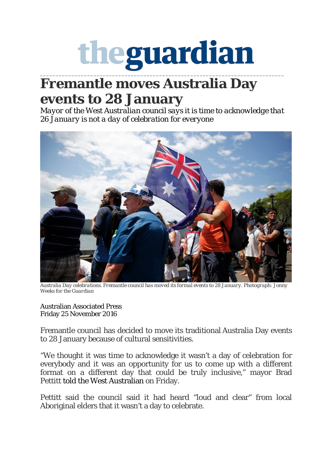## theguardian **\_\_\_\_\_\_\_\_\_\_\_\_\_\_\_\_\_\_\_\_\_\_\_\_\_\_\_\_\_\_\_\_\_\_\_\_\_\_\_\_\_\_\_\_\_\_\_\_\_\_\_\_\_\_\_\_\_\_\_\_\_\_\_\_\_\_\_\_\_\_\_\_\_\_\_\_\_\_**

## **Fremantle moves Australia Day events to 28 January**

*Mayor of the West Australian council says it is time to acknowledge that 26 January is not a day of celebration for everyone*



*Australia Day celebrations. Fremantle council has moved its formal events to 28 January. Photograph: Jonny Weeks for the Guardian*

Australian Associated Press Friday 25 November 2016

Fremantle council has decided to move its traditional Australia Day events to 28 January because of cultural sensitivities.

"We thought it was time to acknowledge it wasn't a day of celebration for everybody and it was an opportunity for us to come up with a different format on a different day that could be truly inclusive," mayor Brad Pettitt told the West Australian on Friday.

Pettitt said the council said it had heard "loud and clear" from local Aboriginal elders that it wasn't a day to celebrate.